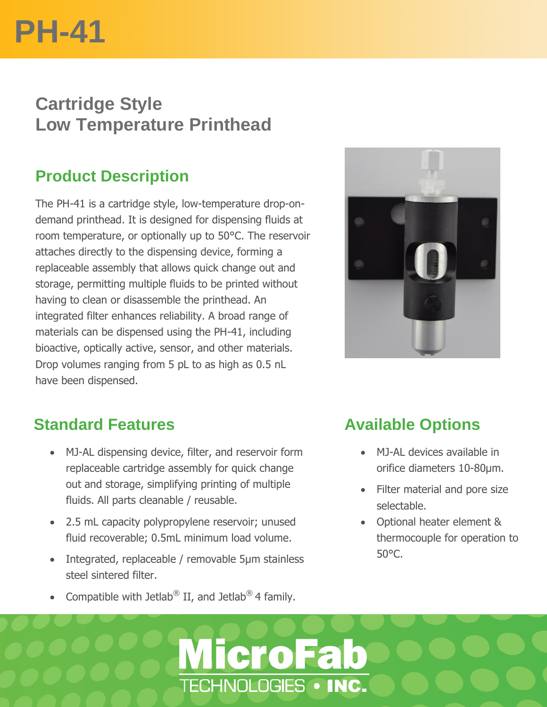# **PH-41**

### **Cartridge Style Low Temperature Printhead**

#### **Product Description**

The PH-41 is a cartridge style, low-temperature drop-ondemand printhead. It is designed for dispensing fluids at room temperature, or optionally up to 50°C. The reservoir attaches directly to the dispensing device, forming a replaceable assembly that allows quick change out and storage, permitting multiple fluids to be printed without having to clean or disassemble the printhead. An integrated filter enhances reliability. A broad range of materials can be dispensed using the PH-41, including bioactive, optically active, sensor, and other materials. Drop volumes ranging from 5 pL to as high as 0.5 nL have been dispensed.



#### **Standard Features**

- MJ-AL dispensing device, filter, and reservoir form replaceable cartridge assembly for quick change out and storage, simplifying printing of multiple fluids. All parts cleanable / reusable.
- 2.5 mL capacity polypropylene reservoir; unused fluid recoverable; 0.5mL minimum load volume.
- Integrated, replaceable / removable 5µm stainless steel sintered filter.
- Compatible with Jetlab<sup>®</sup> II, and Jetlab<sup>®</sup> 4 family.

**MicroFab** 

TECHNOLOGIES . INC.

#### **Available Options**

- MJ-AL devices available in orifice diameters 10-80µm.
- Filter material and pore size selectable.
- Optional heater element & thermocouple for operation to 50°C.